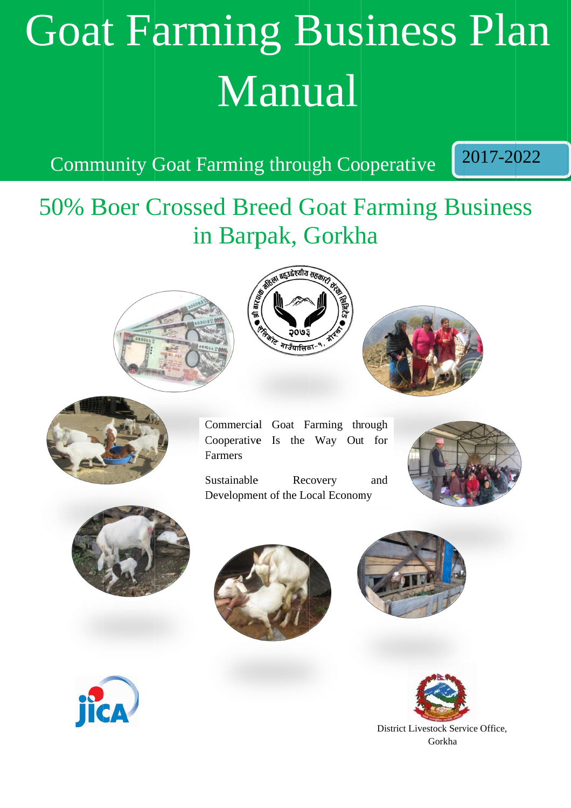# Goat Farming Business Plan Business PlanManual ManualGoat Farming Business Plan<br>
Manual<br>
Community Goat Farming through Cooperative 2017-2022<br>
50% Boer Crossed Breed Goat Farming Business<br>
in Barpak, Gorkha<br>
Comparing Goal Farming Business<br>
Comparing the Latitude Recovery<br>
D

Community Goat Farming through Cooperative

2017-2022

## Community Goat Farming through Cooperative 2017-2022<br>50% Boer Crossed Breed Goat Farming Business in Barpak, Gorkha in Gorkha









Commercial Goat Farming through Cooperative Is the Farmers Commercial Goat Farming throu<br>Cooperative Is the Way Out<br>Farmers<br>Sustainable Recovery :<br>Development of the Local Economy

Sustainable Recovery Development of the Local Economy ooperative Is the Way Out for<br>
ustainable Recovery and<br>
evelopment of the Local Economy and











District Livestock Service Office, District Livestock Service Office, Gorkha

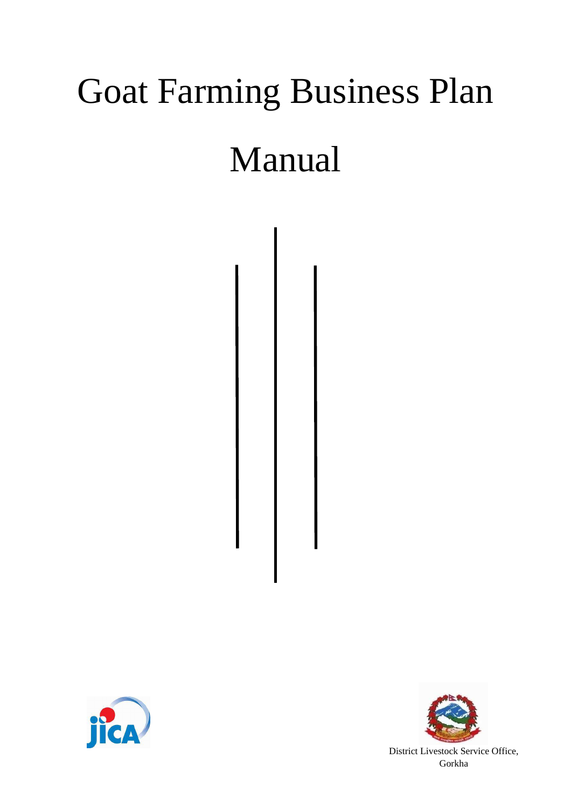## Goat Farming Business Plan

### Manual



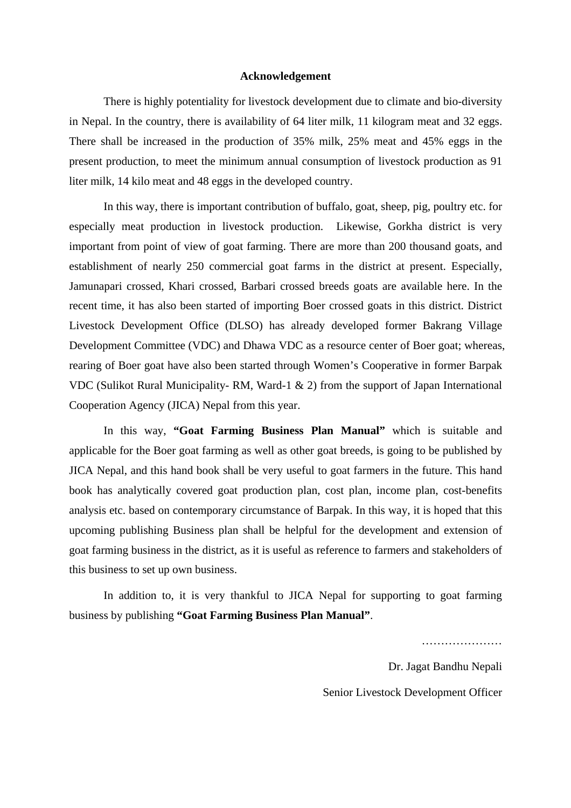#### **Acknowledgement**

There is highly potentiality for livestock development due to climate and bio-diversity in Nepal. In the country, there is availability of 64 liter milk, 11 kilogram meat and 32 eggs. There shall be increased in the production of 35% milk, 25% meat and 45% eggs in the present production, to meet the minimum annual consumption of livestock production as 91 liter milk, 14 kilo meat and 48 eggs in the developed country.

In this way, there is important contribution of buffalo, goat, sheep, pig, poultry etc. for especially meat production in livestock production. Likewise, Gorkha district is very important from point of view of goat farming. There are more than 200 thousand goats, and establishment of nearly 250 commercial goat farms in the district at present. Especially, Jamunapari crossed, Khari crossed, Barbari crossed breeds goats are available here. In the recent time, it has also been started of importing Boer crossed goats in this district. District Livestock Development Office (DLSO) has already developed former Bakrang Village Development Committee (VDC) and Dhawa VDC as a resource center of Boer goat; whereas, rearing of Boer goat have also been started through Women's Cooperative in former Barpak VDC (Sulikot Rural Municipality- RM, Ward-1 & 2) from the support of Japan International Cooperation Agency (JICA) Nepal from this year.

In this way, **"Goat Farming Business Plan Manual"** which is suitable and applicable for the Boer goat farming as well as other goat breeds, is going to be published by JICA Nepal, and this hand book shall be very useful to goat farmers in the future. This hand book has analytically covered goat production plan, cost plan, income plan, cost-benefits analysis etc. based on contemporary circumstance of Barpak. In this way, it is hoped that this upcoming publishing Business plan shall be helpful for the development and extension of goat farming business in the district, as it is useful as reference to farmers and stakeholders of this business to set up own business.

In addition to, it is very thankful to JICA Nepal for supporting to goat farming business by publishing **"Goat Farming Business Plan Manual"**.

…………………

Dr. Jagat Bandhu Nepali

Senior Livestock Development Officer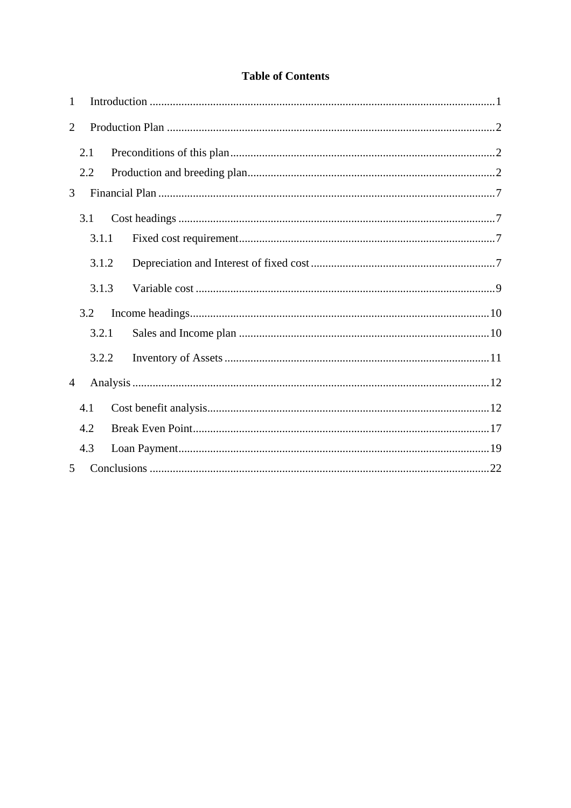#### **Table of Contents**

| $\mathbf{1}$   |       |  |  |
|----------------|-------|--|--|
| $\overline{2}$ |       |  |  |
|                | 2.1   |  |  |
|                | 2.2   |  |  |
| 3              |       |  |  |
|                | 3.1   |  |  |
|                | 3.1.1 |  |  |
|                | 3.1.2 |  |  |
|                | 3.1.3 |  |  |
|                | 3.2   |  |  |
|                | 3.2.1 |  |  |
|                | 3.2.2 |  |  |
| $\overline{4}$ |       |  |  |
|                | 4.1   |  |  |
|                | 4.2   |  |  |
|                | 4.3   |  |  |
| 5              |       |  |  |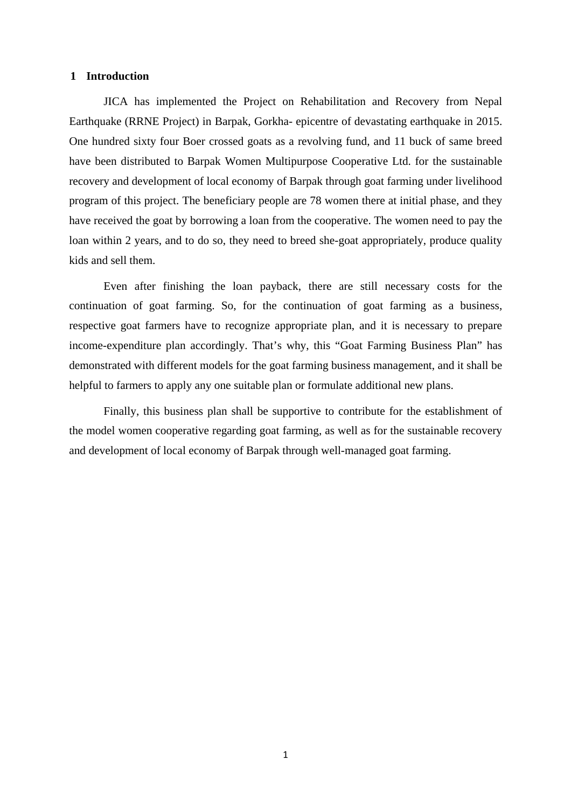#### **1 Introduction**

JICA has implemented the Project on Rehabilitation and Recovery from Nepal Earthquake (RRNE Project) in Barpak, Gorkha- epicentre of devastating earthquake in 2015. One hundred sixty four Boer crossed goats as a revolving fund, and 11 buck of same breed have been distributed to Barpak Women Multipurpose Cooperative Ltd. for the sustainable recovery and development of local economy of Barpak through goat farming under livelihood program of this project. The beneficiary people are 78 women there at initial phase, and they have received the goat by borrowing a loan from the cooperative. The women need to pay the loan within 2 years, and to do so, they need to breed she-goat appropriately, produce quality kids and sell them.

Even after finishing the loan payback, there are still necessary costs for the continuation of goat farming. So, for the continuation of goat farming as a business, respective goat farmers have to recognize appropriate plan, and it is necessary to prepare income-expenditure plan accordingly. That's why, this "Goat Farming Business Plan" has demonstrated with different models for the goat farming business management, and it shall be helpful to farmers to apply any one suitable plan or formulate additional new plans.

Finally, this business plan shall be supportive to contribute for the establishment of the model women cooperative regarding goat farming, as well as for the sustainable recovery and development of local economy of Barpak through well-managed goat farming.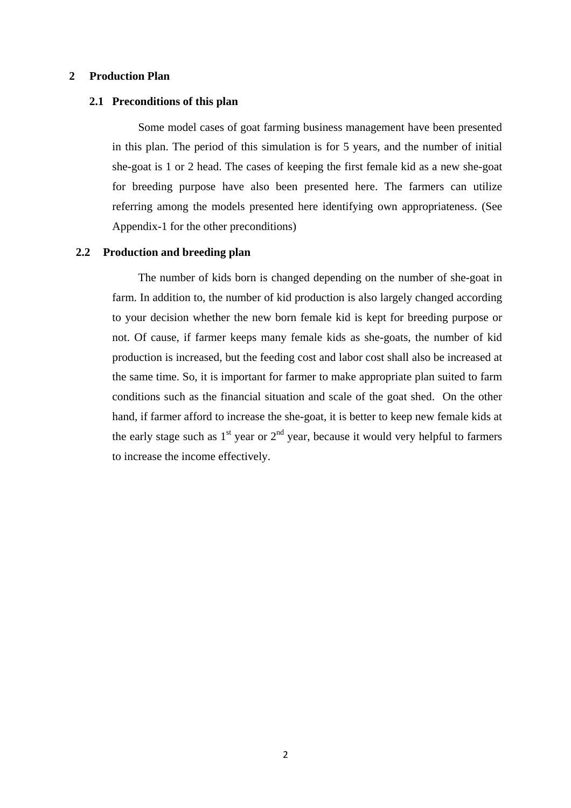#### **2 Production Plan**

#### **2.1 Preconditions of this plan**

Some model cases of goat farming business management have been presented in this plan. The period of this simulation is for 5 years, and the number of initial she-goat is 1 or 2 head. The cases of keeping the first female kid as a new she-goat for breeding purpose have also been presented here. The farmers can utilize referring among the models presented here identifying own appropriateness. (See Appendix-1 for the other preconditions)

#### **2.2 Production and breeding plan**

The number of kids born is changed depending on the number of she-goat in farm. In addition to, the number of kid production is also largely changed according to your decision whether the new born female kid is kept for breeding purpose or not. Of cause, if farmer keeps many female kids as she-goats, the number of kid production is increased, but the feeding cost and labor cost shall also be increased at the same time. So, it is important for farmer to make appropriate plan suited to farm conditions such as the financial situation and scale of the goat shed. On the other hand, if farmer afford to increase the she-goat, it is better to keep new female kids at the early stage such as  $1<sup>st</sup>$  year or  $2<sup>nd</sup>$  year, because it would very helpful to farmers to increase the income effectively.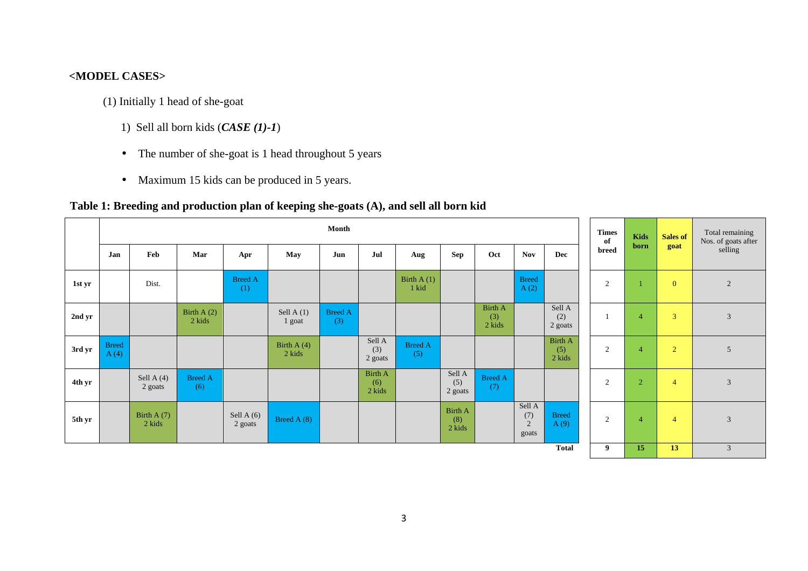#### **<MODEL CASES>**

- (1) Initially 1 head of she-goat
	- 1) Sell all born kids (*CASE (1)-1*)
	- The number of she-goat is 1 head throughout 5 years
	- Maximum 15 kids can be produced in 5 years.

#### **Table 1: Breeding and production plan of keeping she-goats (A), and sell all born kid**

|        |                      |                         |                        |                         |                         | Month                 |                                 |                       |                                 |                                 |                             |                                 | <b>Times</b><br>of | Kids<br>born   | Sales of       | Total remaining<br>Nos. of goats after |
|--------|----------------------|-------------------------|------------------------|-------------------------|-------------------------|-----------------------|---------------------------------|-----------------------|---------------------------------|---------------------------------|-----------------------------|---------------------------------|--------------------|----------------|----------------|----------------------------------------|
|        | Jan                  | Feb                     | Mar                    | Apr                     | May                     | Jun                   | Jul                             | Aug                   | <b>Sep</b>                      | Oct                             | <b>Nov</b>                  | Dec                             | breed              |                | goat           | selling                                |
| 1st yr |                      | Dist.                   |                        | <b>Breed A</b><br>(1)   |                         |                       |                                 | Birth $A(1)$<br>1 kid |                                 |                                 | <b>Breed</b><br>A(2)        |                                 | $\overline{2}$     |                | $\mathbf{0}$   | 2                                      |
| 2nd yr |                      |                         | Birth $A(2)$<br>2 kids |                         | Sell A $(1)$<br>1 goat  | <b>Breed A</b><br>(3) |                                 |                       |                                 | <b>Birth A</b><br>(3)<br>2 kids |                             | Sell A<br>(2)<br>2 goats        |                    | $\overline{4}$ | 3              | 3                                      |
| 3rd yr | <b>Breed</b><br>A(4) |                         |                        |                         | Birth A $(4)$<br>2 kids |                       | Sell A<br>(3)<br>2 goats        | <b>Breed A</b><br>(5) |                                 |                                 |                             | <b>Birth A</b><br>(5)<br>2 kids | 2                  | $\overline{4}$ | $\overline{2}$ | 5                                      |
| 4th yr |                      | Sell A $(4)$<br>2 goats | <b>Breed A</b><br>(6)  |                         |                         |                       | <b>Birth A</b><br>(6)<br>2 kids |                       | Sell A<br>(5)<br>2 goats        | <b>Breed A</b><br>(7)           |                             |                                 | $\overline{2}$     | $\overline{2}$ | $\overline{4}$ | $\mathfrak{Z}$                         |
| 5th yr |                      | Birth A $(7)$<br>2 kids |                        | Sell A $(6)$<br>2 goats | Breed A (8)             |                       |                                 |                       | <b>Birth A</b><br>(8)<br>2 kids |                                 | Sell A<br>(7)<br>2<br>goats | <b>Breed</b><br>A(9)            | 2                  | $\overline{4}$ | $\overline{4}$ | 3                                      |
|        |                      |                         |                        |                         |                         |                       |                                 |                       |                                 |                                 |                             | <b>Total</b>                    | 9                  | 15             | 13             | $\mathfrak{Z}$                         |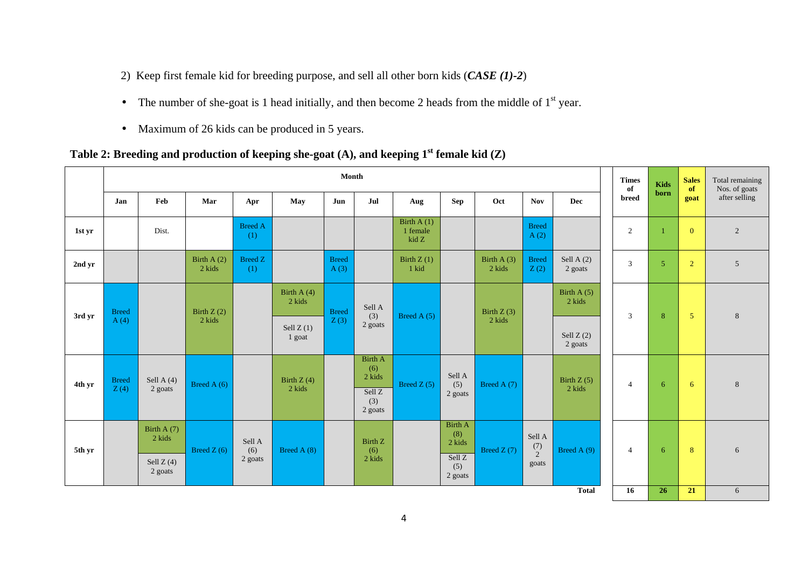- 2) Keep first female kid for breeding purpose, and sell all other born kids (*CASE (1)-2*)
- The number of she-goat is 1 head initially, and then become 2 heads from the middle of  $1<sup>st</sup>$  year.
- Maximum of 26 kids can be produced in 5 years.

**Table 2: Breeding and production of keeping she-goat (A), and keeping 1st female kid (Z)** 

|        |                      |                                                   |                        |                          |                         | Month                |                                                             |                                   |                                                                        |                        |                                   |                         | <b>Times</b><br>of | Kids           | <b>Sales</b><br>of | Total remaining<br>Nos. of goats |
|--------|----------------------|---------------------------------------------------|------------------------|--------------------------|-------------------------|----------------------|-------------------------------------------------------------|-----------------------------------|------------------------------------------------------------------------|------------------------|-----------------------------------|-------------------------|--------------------|----------------|--------------------|----------------------------------|
|        | Jan                  | Feb                                               | Mar                    | Apr                      | May                     | Jun                  | Jul                                                         | Aug                               | <b>Sep</b>                                                             | Oct                    | <b>Nov</b>                        | Dec                     | breed              | born           | goat               | after selling                    |
| 1st yr |                      | Dist.                                             |                        | <b>Breed A</b><br>(1)    |                         |                      |                                                             | Birth $A(1)$<br>1 female<br>kid Z |                                                                        |                        | <b>Breed</b><br>A(2)              |                         | $\overline{2}$     |                | $\mathbf{0}$       | $\overline{2}$                   |
| 2nd yr |                      |                                                   | Birth $A(2)$<br>2 kids | <b>Breed Z</b><br>(1)    |                         | <b>Breed</b><br>A(3) |                                                             | Birth $Z(1)$<br>1 kid             |                                                                        | Birth $A(3)$<br>2 kids | <b>Breed</b><br>Z(2)              | Sell A $(2)$<br>2 goats | 3                  | $\overline{5}$ | $\overline{2}$     | $5\overline{)}$                  |
| 3rd yr | <b>Breed</b>         |                                                   | Birth $Z(2)$<br>2 kids |                          | Birth A $(4)$<br>2 kids | <b>Breed</b>         | Sell A<br>(3)                                               | Breed A $(5)$                     |                                                                        | Birth $Z(3)$<br>2 kids |                                   | Birth A $(5)$<br>2 kids | 3                  | 8              | 5                  | $8\phantom{1}$                   |
|        | A(4)                 |                                                   |                        |                          | Sell $Z(1)$<br>1 goat   | Z(3)                 | 2 goats                                                     |                                   |                                                                        |                        |                                   | Sell $Z(2)$<br>2 goats  |                    |                |                    |                                  |
| 4th yr | <b>Breed</b><br>Z(4) | Sell A $(4)$<br>2 goats                           | Breed A $(6)$          |                          | Birth $Z(4)$<br>2 kids  |                      | <b>Birth A</b><br>(6)<br>2 kids<br>Sell Z<br>(3)<br>2 goats | Breed $Z(5)$                      | Sell A<br>(5)<br>2 goats                                               | Breed A $(7)$          |                                   | Birth $Z(5)$<br>2 kids  | 4                  | 6              | 6                  | $\,8\,$                          |
| 5th yr |                      | Birth A $(7)$<br>2 kids<br>Sell $Z(4)$<br>2 goats | Breed $Z(6)$           | Sell A<br>(6)<br>2 goats | Breed A $(8)$           |                      | <b>Birth Z</b><br>(6)<br>2 kids                             |                                   | <b>Birth A</b><br>(8)<br>2 kids<br>Sell <sub>Z</sub><br>(5)<br>2 goats | Breed $Z(7)$           | Sell A<br>$\binom{7}{2}$<br>goats | Breed A $(9)$           | $\overline{4}$     | 6              | 8                  | 6                                |
|        |                      |                                                   |                        |                          |                         |                      |                                                             |                                   |                                                                        |                        |                                   | <b>Total</b>            | 16                 | 26             | 21                 | 6                                |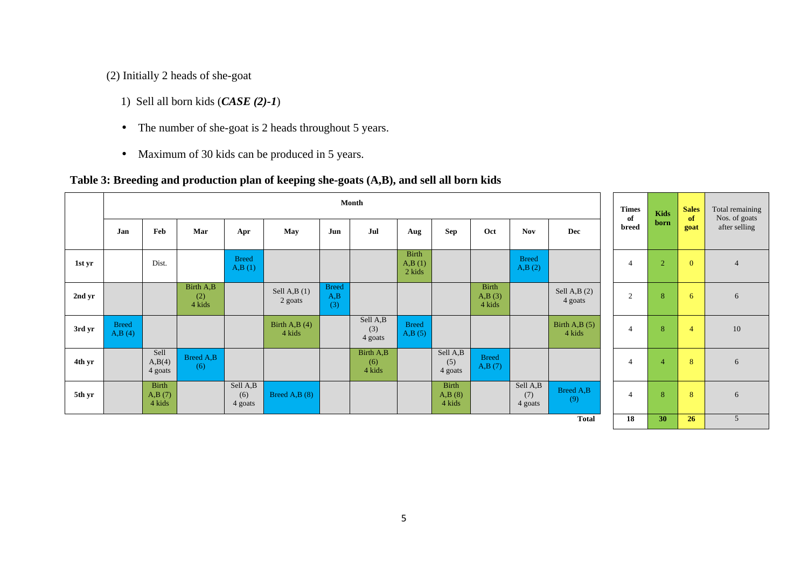(2) Initially 2 heads of she-goat

- 1) Sell all born kids (*CASE (2)-1*)
- The number of she-goat is 2 heads throughout 5 years.
- Maximum of 30 kids can be produced in 5 years.

#### **Table 3: Breeding and production plan of keeping she-goats (A,B), and sell all born kids**

|        |                        | Month                            |                            |                            |                           |                            |                            |                                  |                                  |                           |                            | of                        | <b>Times</b> | <b>Kids</b>    | <b>Sales</b><br>of | Total remaining<br>Nos. of goats |                |
|--------|------------------------|----------------------------------|----------------------------|----------------------------|---------------------------|----------------------------|----------------------------|----------------------------------|----------------------------------|---------------------------|----------------------------|---------------------------|--------------|----------------|--------------------|----------------------------------|----------------|
|        | Jan                    | Feb                              | Mar                        | Apr                        | May                       | Jun                        | Jul                        | Aug                              | <b>Sep</b>                       | Oct                       | <b>Nov</b>                 | Dec                       |              | breed          | born               | goat                             | after selling  |
| 1st yr |                        | Dist.                            |                            | <b>Breed</b><br>A,B(1)     |                           |                            |                            | <b>Birth</b><br>A,B(1)<br>2 kids |                                  |                           | <b>Breed</b><br>A,B(2)     |                           |              | $\overline{4}$ | $\overline{2}$     | $\overline{0}$                   | $\overline{4}$ |
| 2nd yr |                        |                                  | Birth A,B<br>(2)<br>4 kids |                            | Sell A,B $(1)$<br>2 goats | <b>Breed</b><br>A,B<br>(3) |                            |                                  |                                  | Birth<br>A,B(3)<br>4 kids |                            | Sell A,B $(2)$<br>4 goats |              | $\overline{2}$ | 8                  | -6                               | 6              |
| 3rd yr | <b>Breed</b><br>A,B(4) |                                  |                            |                            | Birth A,B $(4)$<br>4 kids |                            | Sell A,B<br>(3)<br>4 goats | <b>Breed</b><br>A,B(5)           |                                  |                           |                            | Birth A,B $(5)$<br>4 kids |              | $\overline{4}$ | 8                  | $\overline{4}$                   | $10\,$         |
| 4th yr |                        | Sell<br>A,B(4)<br>4 goats        | Breed A,B<br>(6)           |                            |                           |                            | Birth A,B<br>(6)<br>4 kids |                                  | Sell A,B<br>(5)<br>4 goats       | <b>Breed</b><br>A,B(7)    |                            |                           |              | $\overline{4}$ | $\overline{4}$     | 8                                | 6              |
| 5th yr |                        | <b>Birth</b><br>A,B(7)<br>4 kids |                            | Sell A,B<br>(6)<br>4 goats | Breed A,B (8)             |                            |                            |                                  | <b>Birth</b><br>A,B(8)<br>4 kids |                           | Sell A,B<br>(7)<br>4 goats | Breed A,B<br>(9)          |              | $\overline{4}$ | 8                  | 8                                | 6              |
|        |                        |                                  |                            |                            |                           |                            |                            |                                  |                                  |                           |                            | <b>Total</b>              |              | 18             | 30                 | 26                               | 5              |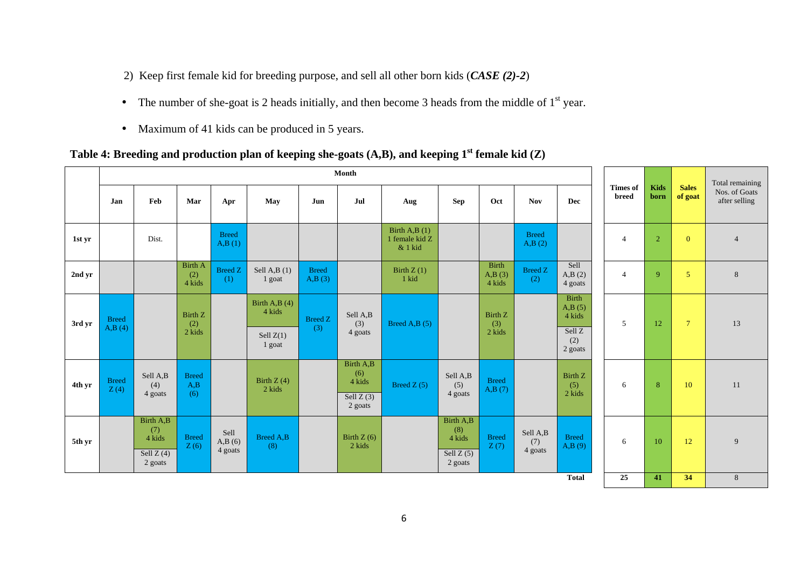- 2) Keep first female kid for breeding purpose, and sell all other born kids (*CASE (2)-2*)
- The number of she-goat is 2 heads initially, and then become 3 heads from the middle of  $1<sup>st</sup>$  year.
- Maximum of 41 kids can be produced in 5 years.

#### **Table 4: Breeding and production plan of keeping she-goats (A,B), and keeping 1st female kid (Z)**

|        |                        |                                                      |                                 |                           |                                                    |                        | Month                                                |                                              |                                                      |                                  |                            |                                                              |                          |                     |                         | Total remaining                |
|--------|------------------------|------------------------------------------------------|---------------------------------|---------------------------|----------------------------------------------------|------------------------|------------------------------------------------------|----------------------------------------------|------------------------------------------------------|----------------------------------|----------------------------|--------------------------------------------------------------|--------------------------|---------------------|-------------------------|--------------------------------|
|        | Jan                    | Feb                                                  | Mar                             | Apr                       | May                                                | Jun                    | Jul                                                  | Aug                                          | <b>Sep</b>                                           | Oct                              | <b>Nov</b>                 | <b>Dec</b>                                                   | <b>Times of</b><br>breed | <b>Kids</b><br>born | <b>Sales</b><br>of goat | Nos. of Goats<br>after selling |
| 1st yr |                        | Dist.                                                |                                 | <b>Breed</b><br>A,B(1)    |                                                    |                        |                                                      | Birth A,B $(1)$<br>1 female kid Z<br>& 1 kid |                                                      |                                  | <b>Breed</b><br>A,B(2)     |                                                              | $\overline{4}$           | $\overline{2}$      | $\overline{0}$          | $\overline{4}$                 |
| 2nd yr |                        |                                                      | <b>Birth A</b><br>(2)<br>4 kids | <b>Breed Z</b><br>(1)     | Sell A,B $(1)$<br>1 goat                           | <b>Breed</b><br>A,B(3) |                                                      | Birth $Z(1)$<br>1 kid                        |                                                      | <b>Birth</b><br>A,B(3)<br>4 kids | <b>Breed Z</b><br>(2)      | Sell<br>A,B(2)<br>4 goats                                    | $\overline{4}$           | 9                   | 5                       | $\,8\,$                        |
| 3rd yr | <b>Breed</b><br>A,B(4) |                                                      | Birth Z<br>(2)<br>2 kids        |                           | Birth A,B $(4)$<br>4 kids<br>Sell $Z(1)$<br>1 goat | <b>Breed Z</b><br>(3)  | Sell A,B<br>(3)<br>4 goats                           | Breed A,B $(5)$                              |                                                      | Birth Z<br>(3)<br>2 kids         |                            | <b>Birth</b><br>A,B(5)<br>4 kids<br>Sell Z<br>(2)<br>2 goats | 5                        | 12                  | $\overline{7}$          | 13                             |
| 4th yr | <b>Breed</b><br>Z(4)   | Sell A,B<br>(4)<br>4 goats                           | <b>Breed</b><br>A,B<br>(6)      |                           | Birth $Z(4)$<br>2 kids                             |                        | Birth A,B<br>(6)<br>4 kids<br>Sell $Z(3)$<br>2 goats | Breed $Z(5)$                                 | Sell A,B<br>(5)<br>4 goats                           | <b>Breed</b><br>A,B(7)           |                            | Birth Z<br>(5)<br>2 kids                                     | 6                        | 8                   | 10                      | 11                             |
| 5th yr |                        | Birth A,B<br>(7)<br>4 kids<br>Sell $Z(4)$<br>2 goats | <b>Breed</b><br>Z(6)            | Sell<br>A,B(6)<br>4 goats | <b>Breed A,B</b><br>(8)                            |                        | Birth $Z(6)$<br>2 kids                               |                                              | Birth A,B<br>(8)<br>4 kids<br>Sell $Z(5)$<br>2 goats | <b>Breed</b><br>Z(7)             | Sell A,B<br>(7)<br>4 goats | <b>Breed</b><br>A,B(9)                                       | 6                        | 10                  | 12                      | 9                              |
|        |                        |                                                      |                                 |                           |                                                    |                        |                                                      |                                              |                                                      |                                  |                            | <b>Total</b>                                                 | 25                       | 41                  | 34                      | 8                              |

6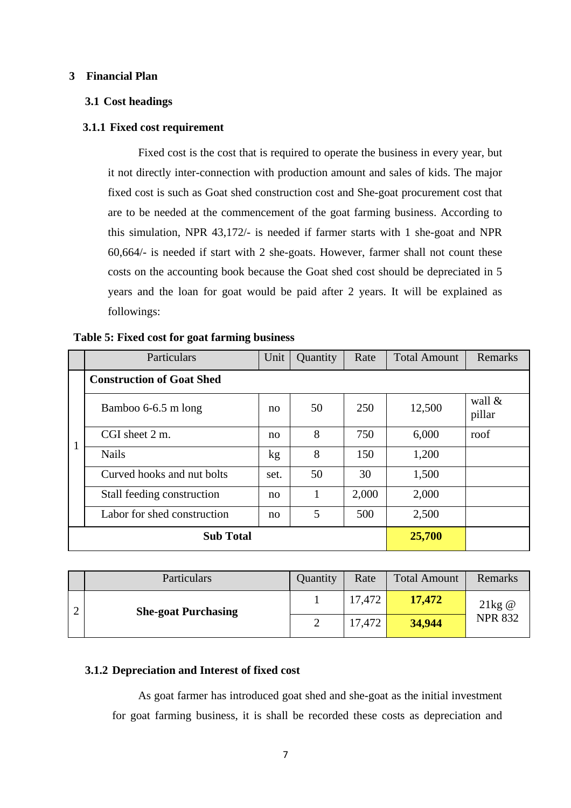#### **3 Financial Plan**

#### **3.1 Cost headings**

#### **3.1.1 Fixed cost requirement**

Fixed cost is the cost that is required to operate the business in every year, but it not directly inter-connection with production amount and sales of kids. The major fixed cost is such as Goat shed construction cost and She-goat procurement cost that are to be needed at the commencement of the goat farming business. According to this simulation, NPR 43,172/- is needed if farmer starts with 1 she-goat and NPR 60,664/- is needed if start with 2 she-goats. However, farmer shall not count these costs on the accounting book because the Goat shed cost should be depreciated in 5 years and the loan for goat would be paid after 2 years. It will be explained as followings:

|   | Particulars                      | Unit | Quantity | Rate  | <b>Total Amount</b> | Remarks             |
|---|----------------------------------|------|----------|-------|---------------------|---------------------|
|   | <b>Construction of Goat Shed</b> |      |          |       |                     |                     |
|   | Bamboo 6-6.5 m long              | no   | 50       | 250   | 12,500              | wall $\&$<br>pillar |
| 1 | CGI sheet 2 m.                   | no   | 8        | 750   | 6,000               | roof                |
|   | <b>Nails</b>                     | kg   | 8        | 150   | 1,200               |                     |
|   | Curved hooks and nut bolts       | set. | 50       | 30    | 1,500               |                     |
|   | Stall feeding construction       | no   |          | 2,000 | 2,000               |                     |
|   | Labor for shed construction      | no   | 5        | 500   | 2,500               |                     |
|   | <b>Sub Total</b>                 |      |          |       | 25,700              |                     |

| Particulars                | Quantity | Rate   | <b>Total Amount</b> | Remarks        |
|----------------------------|----------|--------|---------------------|----------------|
| <b>She-goat Purchasing</b> |          | 17,472 | 17,472              | $21kg$ @       |
|                            |          | 17,472 | 34,944              | <b>NPR 832</b> |

#### **3.1.2 Depreciation and Interest of fixed cost**

As goat farmer has introduced goat shed and she-goat as the initial investment for goat farming business, it is shall be recorded these costs as depreciation and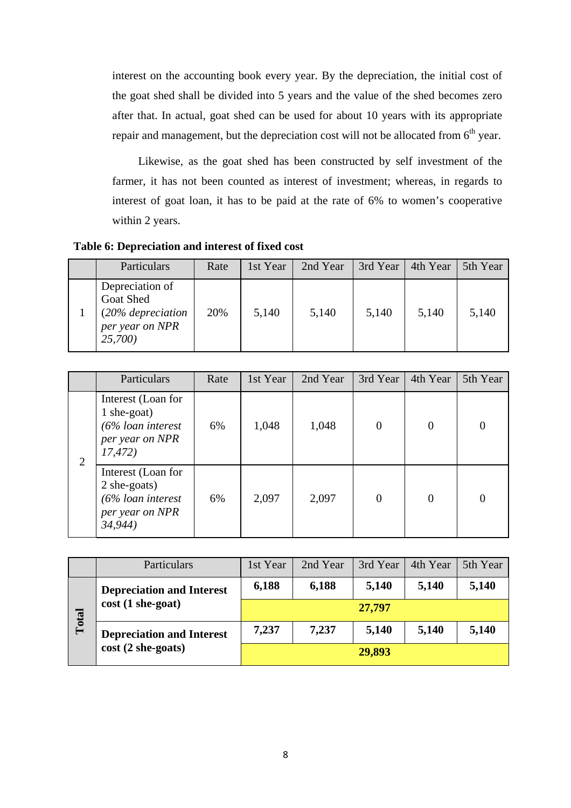interest on the accounting book every year. By the depreciation, the initial cost of the goat shed shall be divided into 5 years and the value of the shed becomes zero after that. In actual, goat shed can be used for about 10 years with its appropriate repair and management, but the depreciation cost will not be allocated from 6<sup>th</sup> year.

Likewise, as the goat shed has been constructed by self investment of the farmer, it has not been counted as interest of investment; whereas, in regards to interest of goat loan, it has to be paid at the rate of 6% to women's cooperative within 2 years.

**Table 6: Depreciation and interest of fixed cost** 

| Particulars                                                                            | Rate | 1st Year | 2nd Year | 3rd Year | 4th Year | 5th Year |
|----------------------------------------------------------------------------------------|------|----------|----------|----------|----------|----------|
| Depreciation of<br><b>Goat Shed</b><br>(20% depreciation<br>per year on NPR<br>25,700) | 20%  | 5,140    | 5,140    | 5,140    | 5,140    | 5,140    |

|                | Particulars                                                                               | Rate | 1st Year | 2nd Year | 3rd Year       | 4th Year       | 5th Year |
|----------------|-------------------------------------------------------------------------------------------|------|----------|----------|----------------|----------------|----------|
| $\overline{2}$ | Interest (Loan for<br>$1$ she-goat)<br>$(6\%$ loan interest<br>per year on NPR<br>17,472) | 6%   | 1,048    | 1,048    | $\overline{0}$ | $\overline{0}$ |          |
|                | Interest (Loan for<br>2 she-goats)<br>$(6\%$ loan interest<br>per year on NPR<br>34,944)  | 6%   | 2,097    | 2,097    | $\overline{0}$ | $\theta$       |          |

|       | Particulars                      | 1st Year                                  | 2nd Year | 3rd Year | 4th Year | 5th Year |  |  |  |  |  |
|-------|----------------------------------|-------------------------------------------|----------|----------|----------|----------|--|--|--|--|--|
|       | <b>Depreciation and Interest</b> | 6,188                                     | 6,188    | 5,140    | 5,140    | 5,140    |  |  |  |  |  |
| Total | $cost(1 she-goat)$               | 27,797                                    |          |          |          |          |  |  |  |  |  |
|       | <b>Depreciation and Interest</b> | 7,237<br>5,140<br>7,237<br>5,140<br>5,140 |          |          |          |          |  |  |  |  |  |
|       | $cost(2 she-goats)$              | 29,893                                    |          |          |          |          |  |  |  |  |  |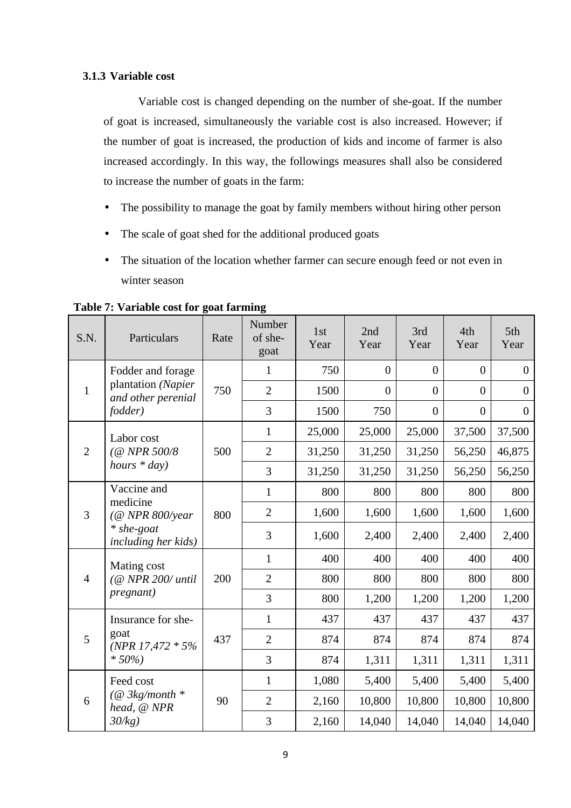#### **3.1.3 Variable cost**

Variable cost is changed depending on the number of she-goat. If the number of goat is increased, simultaneously the variable cost is also increased. However; if the number of goat is increased, the production of kids and income of farmer is also increased accordingly. In this way, the followings measures shall also be considered to increase the number of goats in the farm:

- The possibility to manage the goat by family members without hiring other person
- The scale of goat shed for the additional produced goats
- The situation of the location whether farmer can secure enough feed or not even in winter season

| S.N.           | Particulars                              | Rate | Number<br>of she-<br>goat | 1st<br>Year | 2nd<br>Year    | 3rd<br>Year    | 4th<br>Year    | 5th<br>Year      |
|----------------|------------------------------------------|------|---------------------------|-------------|----------------|----------------|----------------|------------------|
|                | Fodder and forage                        |      | 1                         | 750         | $\overline{0}$ | $\overline{0}$ | $\theta$       | $\overline{0}$   |
| $\mathbf{1}$   | plantation (Napier<br>and other perenial | 750  | $\overline{2}$            | 1500        | $\overline{0}$ | $\Omega$       | $\overline{0}$ | $\boldsymbol{0}$ |
|                | <i>fodder</i> )                          |      | 3                         | 1500        | 750            | $\overline{0}$ | $\overline{0}$ | $\overline{0}$   |
|                | Labor cost                               |      | $\mathbf{1}$              | 25,000      | 25,000         | 25,000         | 37,500         | 37,500           |
| $\overline{2}$ | (@ NPR 500/8                             | 500  | $\overline{2}$            | 31,250      | 31,250         | 31,250         | 56,250         | 46,875           |
|                | hours $*$ day)                           |      | 3                         | 31,250      | 31,250         | 31,250         | 56,250         | 56,250           |
|                | Vaccine and<br>medicine                  |      | $\mathbf{1}$              | 800         | 800            | 800            | 800            | 800              |
| 3              | $(@$ NPR 800/year                        | 800  | $\overline{2}$            | 1,600       | 1,600          | 1,600          | 1,600          | 1,600            |
|                | $*$ she-goat<br>including her kids)      |      | 3                         | 1,600       | 2,400          | 2,400          | 2,400          | 2,400            |
|                | Mating cost                              |      | $\mathbf{1}$              | 400         | 400            | 400            | 400            | 400              |
| $\overline{4}$ | (@ NPR 200/ until                        | 200  | $\overline{2}$            | 800         | 800            | 800            | 800            | 800              |
|                | <i>pregnant</i> )                        |      | 3                         | 800         | 1,200          | 1,200          | 1,200          | 1,200            |
|                | Insurance for she-                       |      | $\mathbf{1}$              | 437         | 437            | 437            | 437            | 437              |
| 5              | goat<br>(NPR 17,472 $*$ 5%               | 437  | $\overline{2}$            | 874         | 874            | 874            | 874            | 874              |
|                | $*50\%$                                  |      | 3                         | 874         | 1,311          | 1,311          | 1,311          | 1,311            |
|                | Feed cost                                |      | 1                         | 1,080       | 5,400          | 5,400          | 5,400          | 5,400            |
| 6              | (@ 3kg/month *<br>head, @ NPR            | 90   | $\overline{2}$            | 2,160       | 10,800         | 10,800         | 10,800         | 10,800           |
|                | 30/kg                                    |      | 3                         | 2,160       | 14,040         | 14,040         | 14,040         | 14,040           |

**Table 7: Variable cost for goat farming**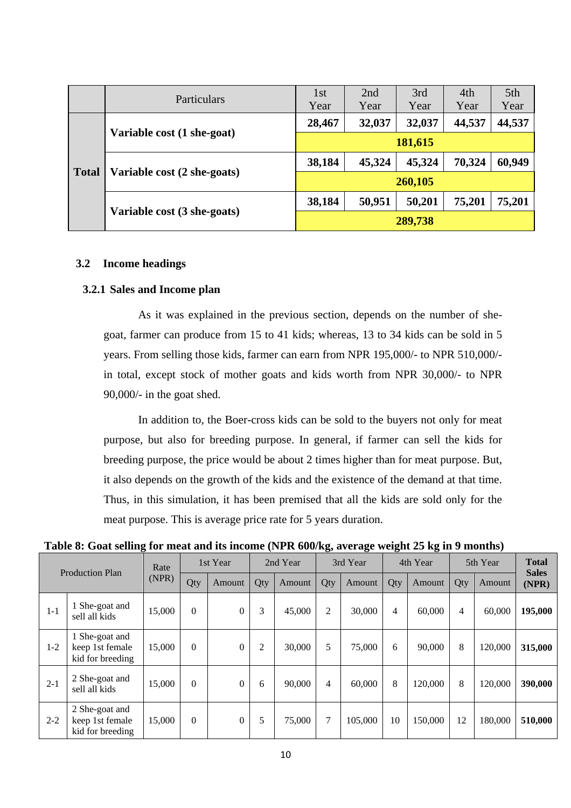|              | Particulars                 | 1st<br>Year | 2nd<br>Year | 3rd<br>Year | 4th<br>Year | 5th<br>Year |  |  |  |  |
|--------------|-----------------------------|-------------|-------------|-------------|-------------|-------------|--|--|--|--|
|              |                             | 28,467      | 32,037      | 32,037      | 44,537      | 44,537      |  |  |  |  |
|              | Variable cost (1 she-goat)  | 181,615     |             |             |             |             |  |  |  |  |
|              |                             | 38,184      | 45,324      | 45,324      | 70,324      | 60,949      |  |  |  |  |
| <b>Total</b> | Variable cost (2 she-goats) | 260,105     |             |             |             |             |  |  |  |  |
|              |                             | 38,184      | 50,951      | 50,201      | 75,201      | 75,201      |  |  |  |  |
|              | Variable cost (3 she-goats) | 289,738     |             |             |             |             |  |  |  |  |

#### **3.2 Income headings**

#### **3.2.1 Sales and Income plan**

As it was explained in the previous section, depends on the number of shegoat, farmer can produce from 15 to 41 kids; whereas, 13 to 34 kids can be sold in 5 years. From selling those kids, farmer can earn from NPR 195,000/- to NPR 510,000/ in total, except stock of mother goats and kids worth from NPR 30,000/- to NPR 90,000/- in the goat shed.

In addition to, the Boer-cross kids can be sold to the buyers not only for meat purpose, but also for breeding purpose. In general, if farmer can sell the kids for breeding purpose, the price would be about 2 times higher than for meat purpose. But, it also depends on the growth of the kids and the existence of the demand at that time. Thus, in this simulation, it has been premised that all the kids are sold only for the meat purpose. This is average price rate for 5 years duration.

**Table 8: Goat selling for meat and its income (NPR 600/kg, average weight 25 kg in 9 months)** 

|         |                                                       | o      |                  |              |                |          | $\mathbf{C}^{\prime}$ | o        | o.  | o        |          |         |                              |  |
|---------|-------------------------------------------------------|--------|------------------|--------------|----------------|----------|-----------------------|----------|-----|----------|----------|---------|------------------------------|--|
|         | <b>Production Plan</b>                                |        |                  | 1st Year     |                | 2nd Year |                       | 3rd Year |     | 4th Year | 5th Year |         | <b>Total</b><br><b>Sales</b> |  |
|         |                                                       | (NPR)  | Qty              | Amount       | Qty            | Amount   | Qty                   | Amount   | Qty | Amount   | Qty      | Amount  | (NPR)                        |  |
| $1 - 1$ | 1 She-goat and<br>sell all kids                       | 15,000 | $\boldsymbol{0}$ | $\Omega$     | 3              | 45,000   | 2                     | 30,000   | 4   | 60,000   | 4        | 60,000  | 195,000                      |  |
| $1 - 2$ | 1 She-goat and<br>keep 1st female<br>kid for breeding | 15,000 | $\theta$         | $\Omega$     | $\overline{2}$ | 30,000   | 5                     | 75,000   | 6   | 90,000   | 8        | 120,000 | 315,000                      |  |
| $2 - 1$ | 2 She-goat and<br>sell all kids                       | 15,000 | $\boldsymbol{0}$ | $\Omega$     | 6              | 90,000   | 4                     | 60,000   | 8   | 120.000  | 8        | 120,000 | 390,000                      |  |
| $2 - 2$ | 2 She-goat and<br>keep 1st female<br>kid for breeding | 15,000 | $\mathbf{0}$     | $\mathbf{0}$ | 5              | 75,000   | $\tau$                | 105,000  | 10  | 150,000  | 12       | 180,000 | 510,000                      |  |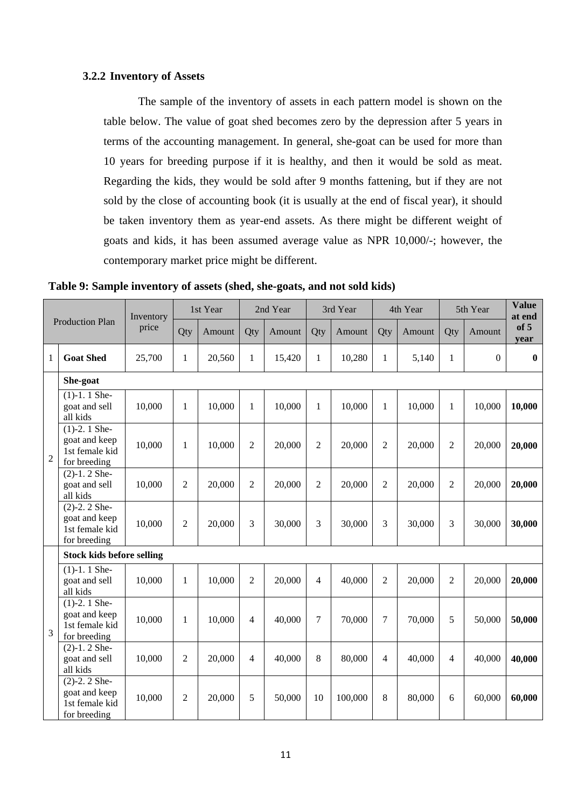#### **3.2.2 Inventory of Assets**

The sample of the inventory of assets in each pattern model is shown on the table below. The value of goat shed becomes zero by the depression after 5 years in terms of the accounting management. In general, she-goat can be used for more than 10 years for breeding purpose if it is healthy, and then it would be sold as meat. Regarding the kids, they would be sold after 9 months fattening, but if they are not sold by the close of accounting book (it is usually at the end of fiscal year), it should be taken inventory them as year-end assets. As there might be different weight of goats and kids, it has been assumed average value as NPR 10,000/-; however, the contemporary market price might be different.

|                |                                                                   | Inventory |                | 1st Year |                | 2nd Year |                | 3rd Year<br>4th Year |                |        | 5th Year       |                  | <b>Value</b><br>at end |
|----------------|-------------------------------------------------------------------|-----------|----------------|----------|----------------|----------|----------------|----------------------|----------------|--------|----------------|------------------|------------------------|
|                | <b>Production Plan</b>                                            | price     | Qty            | Amount   | Qty            | Amount   | Qty            | Amount               | Qty            | Amount | Qty            | Amount           | of 5<br>year           |
| 1              | <b>Goat Shed</b>                                                  | 25,700    | 1              | 20,560   | $\mathbf{1}$   | 15,420   | $\mathbf{1}$   | 10,280               | 1              | 5,140  | $\mathbf{1}$   | $\boldsymbol{0}$ | $\bf{0}$               |
|                | She-goat                                                          |           |                |          |                |          |                |                      |                |        |                |                  |                        |
|                | $(1)-1.1$ She-<br>goat and sell<br>all kids                       | 10,000    | $\mathbf{1}$   | 10,000   | 1              | 10,000   | 1              | 10,000               | 1              | 10,000 | 1              | 10,000           | 10,000                 |
| $\mathbf{2}$   | $(1)-2.1$ She-<br>goat and keep<br>1st female kid<br>for breeding | 10,000    | $\mathbf{1}$   | 10,000   | $\overline{2}$ | 20,000   | $\overline{2}$ | 20,000               | $\overline{2}$ | 20,000 | 2              | 20,000           | 20,000                 |
|                | $(2)-1.2$ She-<br>goat and sell<br>all kids                       | 10,000    | 2              | 20,000   | $\overline{2}$ | 20,000   | $\overline{2}$ | 20,000               | $\overline{2}$ | 20,000 | $\overline{2}$ | 20,000           | 20,000                 |
|                | $(2)-2.2$ She-<br>goat and keep<br>1st female kid<br>for breeding | 10,000    | $\overline{2}$ | 20,000   | 3              | 30,000   | 3              | 30,000               | 3              | 30,000 | 3              | 30,000           | 30,000                 |
|                | <b>Stock kids before selling</b>                                  |           |                |          |                |          |                |                      |                |        |                |                  |                        |
|                | $(1)-1.1$ She-<br>goat and sell<br>all kids                       | 10,000    | $\mathbf{1}$   | 10,000   | $\overline{2}$ | 20,000   | 4              | 40,000               | $\overline{2}$ | 20,000 | $\overline{2}$ | 20,000           | 20,000                 |
| $\overline{3}$ | $(1)-2.1$ She-<br>goat and keep<br>1st female kid<br>for breeding | 10,000    | 1              | 10,000   | 4              | 40,000   | 7              | 70,000               | 7              | 70,000 | 5              | 50,000           | 50,000                 |
|                | $(2)-1.2$ She-<br>goat and sell<br>all kids                       | 10,000    | $\overline{2}$ | 20,000   | 4              | 40,000   | 8              | 80,000               | 4              | 40,000 | 4              | 40,000           | 40,000                 |
|                | $(2)-2.2$ She-<br>goat and keep<br>1st female kid<br>for breeding | 10,000    | $\overline{2}$ | 20,000   | 5              | 50,000   | 10             | 100,000              | 8              | 80,000 | 6              | 60,000           | 60,000                 |

**Table 9: Sample inventory of assets (shed, she-goats, and not sold kids)**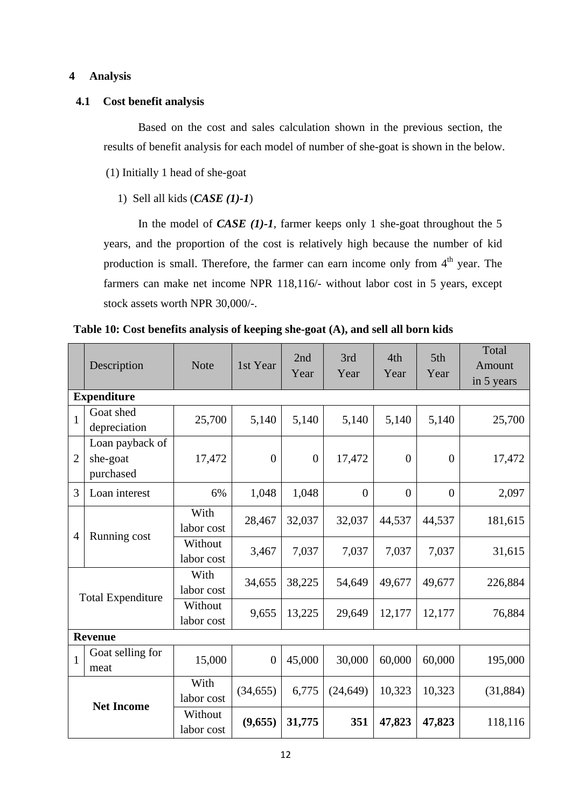#### **4 Analysis**

#### **4.1 Cost benefit analysis**

Based on the cost and sales calculation shown in the previous section, the results of benefit analysis for each model of number of she-goat is shown in the below.

(1) Initially 1 head of she-goat

#### 1) Sell all kids (*CASE (1)-1*)

In the model of *CASE (1)-1*, farmer keeps only 1 she-goat throughout the 5 years, and the proportion of the cost is relatively high because the number of kid production is small. Therefore, the farmer can earn income only from  $4<sup>th</sup>$  year. The farmers can make net income NPR 118,116/- without labor cost in 5 years, except stock assets worth NPR 30,000/-.

|                   | Description                              | <b>Note</b>           | 1st Year       | 2nd<br>Year    | 3rd<br>Year  | 4th<br>Year    | 5th<br>Year    | Total<br>Amount<br>in 5 years |
|-------------------|------------------------------------------|-----------------------|----------------|----------------|--------------|----------------|----------------|-------------------------------|
|                   | <b>Expenditure</b>                       |                       |                |                |              |                |                |                               |
| $\mathbf{1}$      | Goat shed<br>depreciation                | 25,700                | 5,140          | 5,140          | 5,140        | 5,140          | 5,140          | 25,700                        |
| $\overline{2}$    | Loan payback of<br>she-goat<br>purchased | 17,472                | $\overline{0}$ | $\overline{0}$ | 17,472       | $\overline{0}$ | $\overline{0}$ | 17,472                        |
| 3                 | Loan interest                            | 6%                    | 1,048          | 1,048          | $\mathbf{0}$ | $\overline{0}$ | $\overline{0}$ | 2,097                         |
| $\overline{4}$    | Running cost                             | With<br>labor cost    | 28,467         | 32,037         | 32,037       | 44,537         | 44,537         | 181,615                       |
|                   |                                          | Without<br>labor cost | 3,467          | 7,037          | 7,037        | 7,037          | 7,037          | 31,615                        |
|                   | <b>Total Expenditure</b>                 | With<br>labor cost    | 34,655         | 38,225         | 54,649       | 49,677         | 49,677         | 226,884                       |
|                   |                                          | Without<br>labor cost | 9,655          | 13,225         | 29,649       | 12,177         | 12,177         | 76,884                        |
|                   | <b>Revenue</b>                           |                       |                |                |              |                |                |                               |
| $\mathbf{1}$      | Goat selling for<br>meat                 | 15,000                | $\overline{0}$ | 45,000         | 30,000       | 60,000         | 60,000         | 195,000                       |
|                   |                                          | With<br>labor cost    | (34, 655)      | 6,775          | (24, 649)    | 10,323         | 10,323         | (31, 884)                     |
| <b>Net Income</b> |                                          | Without<br>labor cost | (9,655)        | 31,775         | 351          | 47,823         | 47,823         | 118,116                       |

**Table 10: Cost benefits analysis of keeping she-goat (A), and sell all born kids**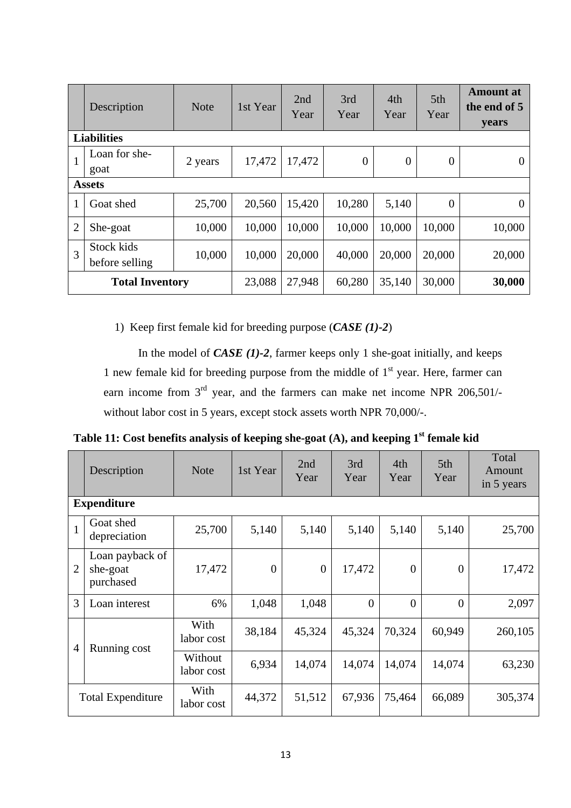|                | Description                  | <b>Note</b> | 1st Year | 2nd<br>Year | 3rd<br>Year    | 4th<br>Year    | 5th<br>Year    | <b>Amount</b> at<br>the end of 5<br>years |  |  |  |
|----------------|------------------------------|-------------|----------|-------------|----------------|----------------|----------------|-------------------------------------------|--|--|--|
|                | <b>Liabilities</b>           |             |          |             |                |                |                |                                           |  |  |  |
| $\mathbf{1}$   | Loan for she-                | 2 years     | 17,472   | 17,472      | $\overline{0}$ | $\overline{0}$ | $\overline{0}$ | $\overline{0}$                            |  |  |  |
|                | goat                         |             |          |             |                |                |                |                                           |  |  |  |
|                | <b>Assets</b>                |             |          |             |                |                |                |                                           |  |  |  |
| 1              | Goat shed                    | 25,700      | 20,560   | 15,420      | 10,280         | 5,140          | $\overline{0}$ | $\Omega$                                  |  |  |  |
| $\overline{2}$ | She-goat                     | 10,000      | 10,000   | 10,000      | 10,000         | 10,000         | 10,000         | 10,000                                    |  |  |  |
| 3              | Stock kids<br>before selling | 10,000      | 10,000   | 20,000      | 40,000         | 20,000         | 20,000         | 20,000                                    |  |  |  |
|                | <b>Total Inventory</b>       |             | 23,088   | 27,948      | 60,280         | 35,140         | 30,000         | 30,000                                    |  |  |  |

1) Keep first female kid for breeding purpose (*CASE (1)-2*)

In the model of *CASE (1)-2*, farmer keeps only 1 she-goat initially, and keeps 1 new female kid for breeding purpose from the middle of  $1<sup>st</sup>$  year. Here, farmer can earn income from 3<sup>rd</sup> year, and the farmers can make net income NPR 206,501/without labor cost in 5 years, except stock assets worth NPR 70,000/-.

**Table 11: Cost benefits analysis of keeping she-goat (A), and keeping 1st female kid** 

|                | Description                              | <b>Note</b>           | 1st Year         | 2nd<br>Year      | 3rd<br>Year    | 4th<br>Year    | 5th<br>Year    | Total<br>Amount<br>in 5 years |  |  |  |  |  |
|----------------|------------------------------------------|-----------------------|------------------|------------------|----------------|----------------|----------------|-------------------------------|--|--|--|--|--|
|                | <b>Expenditure</b>                       |                       |                  |                  |                |                |                |                               |  |  |  |  |  |
| $\mathbf{1}$   | Goat shed<br>depreciation                | 25,700                | 5,140            | 5,140            | 5,140          | 5,140          | 5,140          | 25,700                        |  |  |  |  |  |
| $\overline{2}$ | Loan payback of<br>she-goat<br>purchased | 17,472                | $\boldsymbol{0}$ | $\boldsymbol{0}$ | 17,472         | $\overline{0}$ | $\theta$       | 17,472                        |  |  |  |  |  |
| 3              | Loan interest                            | 6%                    | 1,048            | 1,048            | $\overline{0}$ | $\overline{0}$ | $\overline{0}$ | 2,097                         |  |  |  |  |  |
| 4              | Running cost                             | With<br>labor cost    | 38,184           | 45,324           | 45,324         | 70,324         | 60,949         | 260,105                       |  |  |  |  |  |
|                |                                          | Without<br>labor cost | 6,934            | 14,074           | 14,074         | 14,074         | 14,074         | 63,230                        |  |  |  |  |  |
|                | <b>Total Expenditure</b>                 | With<br>labor cost    | 44,372           | 51,512           | 67,936         | 75,464         | 66,089         | 305,374                       |  |  |  |  |  |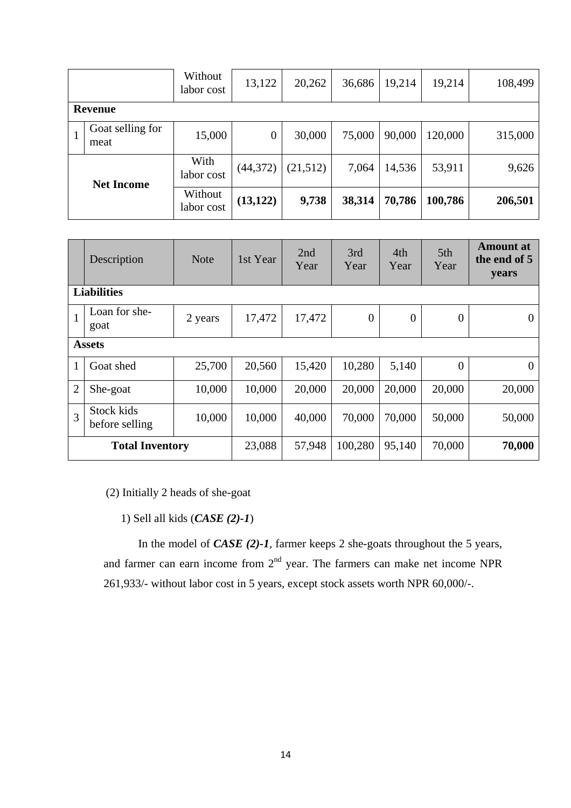|                   |                          | Without<br>labor cost | 13,122           | 20,262   | 36,686 | 19,214 | 19,214  | 108,499 |  |  |
|-------------------|--------------------------|-----------------------|------------------|----------|--------|--------|---------|---------|--|--|
|                   | Revenue                  |                       |                  |          |        |        |         |         |  |  |
|                   | Goat selling for<br>meat | 15,000                | $\boldsymbol{0}$ | 30,000   | 75,000 | 90,000 | 120,000 | 315,000 |  |  |
| <b>Net Income</b> |                          | With<br>labor cost    | (44, 372)        | (21,512) | 7,064  | 14,536 | 53,911  | 9,626   |  |  |
|                   |                          | Without<br>labor cost | (13, 122)        | 9,738    | 38,314 | 70,786 | 100,786 | 206,501 |  |  |

|                | Description                  | <b>Note</b> | 1st Year | 2nd<br>Year | 3rd<br>Year      | 4th<br>Year | 5th<br>Year      | <b>Amount</b> at<br>the end of 5<br>years |  |  |  |
|----------------|------------------------------|-------------|----------|-------------|------------------|-------------|------------------|-------------------------------------------|--|--|--|
|                | <b>Liabilities</b>           |             |          |             |                  |             |                  |                                           |  |  |  |
| $\mathbf{1}$   | Loan for she-<br>goat        | 2 years     | 17,472   | 17,472      | $\boldsymbol{0}$ | $\theta$    | $\boldsymbol{0}$ |                                           |  |  |  |
|                | <b>Assets</b>                |             |          |             |                  |             |                  |                                           |  |  |  |
| 1              | Goat shed                    | 25,700      | 20,560   | 15,420      | 10,280           | 5,140       | $\overline{0}$   | $\Omega$                                  |  |  |  |
| $\overline{2}$ | She-goat                     | 10,000      | 10,000   | 20,000      | 20,000           | 20,000      | 20,000           | 20,000                                    |  |  |  |
| 3              | Stock kids<br>before selling | 10,000      | 10,000   | 40,000      | 70,000           | 70,000      | 50,000           | 50,000                                    |  |  |  |
|                | <b>Total Inventory</b>       | 23,088      | 57,948   | 100,280     | 95,140           | 70,000      | 70,000           |                                           |  |  |  |

(2) Initially 2 heads of she-goat

1) Sell all kids (*CASE (2)-1*)

In the model of *CASE (2)-1*, farmer keeps 2 she-goats throughout the 5 years, and farmer can earn income from  $2<sup>nd</sup>$  year. The farmers can make net income NPR 261,933/- without labor cost in 5 years, except stock assets worth NPR 60,000/-.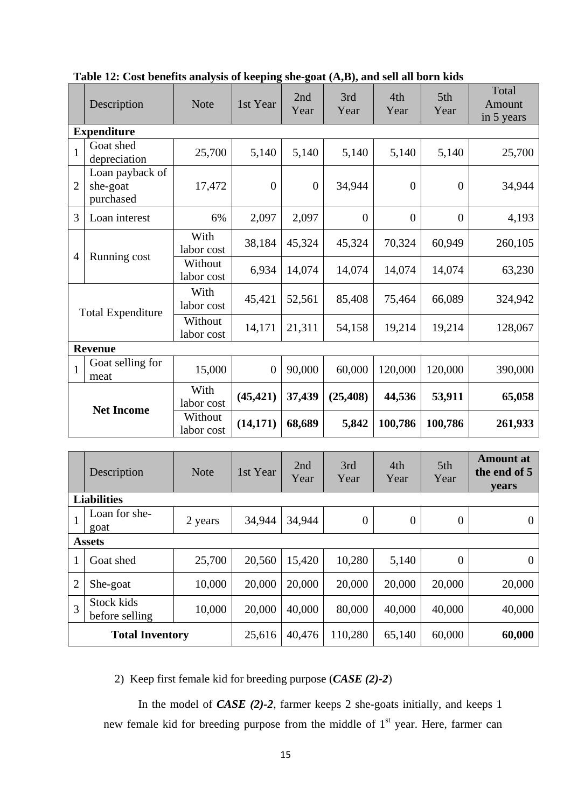|                   | Description                              | <b>Note</b>           | 1st Year       | 2nd<br>Year    | 3rd<br>Year    | 4th<br>Year    | 5th<br>Year    | Total<br>Amount<br>in 5 years |
|-------------------|------------------------------------------|-----------------------|----------------|----------------|----------------|----------------|----------------|-------------------------------|
|                   | <b>Expenditure</b>                       |                       |                |                |                |                |                |                               |
| $\mathbf{1}$      | Goat shed<br>depreciation                | 25,700                | 5,140          | 5,140          | 5,140          | 5,140          | 5,140          | 25,700                        |
| 2                 | Loan payback of<br>she-goat<br>purchased | 17,472                | $\theta$       | $\overline{0}$ | 34,944         | $\Omega$       | $\overline{0}$ | 34,944                        |
| 3                 | Loan interest                            | 6%                    | 2,097          | 2,097          | $\overline{0}$ | $\overline{0}$ | $\overline{0}$ | 4,193                         |
| 4                 |                                          | With<br>labor cost    | 38,184         | 45,324         | 45,324         | 70,324         | 60,949         | 260,105                       |
|                   | Running cost                             | Without<br>labor cost | 6,934          | 14,074         | 14,074         | 14,074         | 14,074         | 63,230                        |
|                   | <b>Total Expenditure</b>                 | With<br>labor cost    | 45,421         | 52,561         | 85,408         | 75,464         | 66,089         | 324,942                       |
|                   |                                          | Without<br>labor cost | 14,171         | 21,311         | 54,158         | 19,214         | 19,214         | 128,067                       |
|                   | <b>Revenue</b>                           |                       |                |                |                |                |                |                               |
| $\mathbf{1}$      | Goat selling for<br>meat                 | 15,000                | $\overline{0}$ | 90,000         | 60,000         | 120,000        | 120,000        | 390,000                       |
|                   |                                          | With<br>labor cost    | (45, 421)      | 37,439         | (25, 408)      | 44,536         | 53,911         | 65,058                        |
| <b>Net Income</b> |                                          | Without<br>labor cost | (14, 171)      | 68,689         | 5,842          | 100,786        | 100,786        | 261,933                       |

**Table 12: Cost benefits analysis of keeping she-goat (A,B), and sell all born kids** 

|                | Description                  | <b>Note</b> | 1st Year | 2nd<br>Year | 3rd<br>Year    | 4th<br>Year      | 5th<br>Year      | <b>Amount</b> at<br>the end of 5<br><b>vears</b> |  |  |  |
|----------------|------------------------------|-------------|----------|-------------|----------------|------------------|------------------|--------------------------------------------------|--|--|--|
|                | <b>Liabilities</b>           |             |          |             |                |                  |                  |                                                  |  |  |  |
|                | Loan for she-<br>goat        | 2 years     | 34,944   | 34,944      | $\overline{0}$ | $\boldsymbol{0}$ | $\boldsymbol{0}$ | $\theta$                                         |  |  |  |
|                | <b>Assets</b>                |             |          |             |                |                  |                  |                                                  |  |  |  |
| 1              | Goat shed                    | 25,700      | 20,560   | 15,420      | 10,280         | 5,140            | $\overline{0}$   | $\Omega$                                         |  |  |  |
| $\overline{2}$ | She-goat                     | 10,000      | 20,000   | 20,000      | 20,000         | 20,000           | 20,000           | 20,000                                           |  |  |  |
| $\overline{3}$ | Stock kids<br>before selling | 10,000      | 20,000   | 40,000      | 80,000         | 40,000           | 40,000           | 40,000                                           |  |  |  |
|                | <b>Total Inventory</b>       | 25,616      | 40,476   | 110,280     | 65,140         | 60,000           | 60,000           |                                                  |  |  |  |

2) Keep first female kid for breeding purpose (*CASE (2)-2*)

In the model of *CASE (2)-2*, farmer keeps 2 she-goats initially, and keeps 1 new female kid for breeding purpose from the middle of 1<sup>st</sup> year. Here, farmer can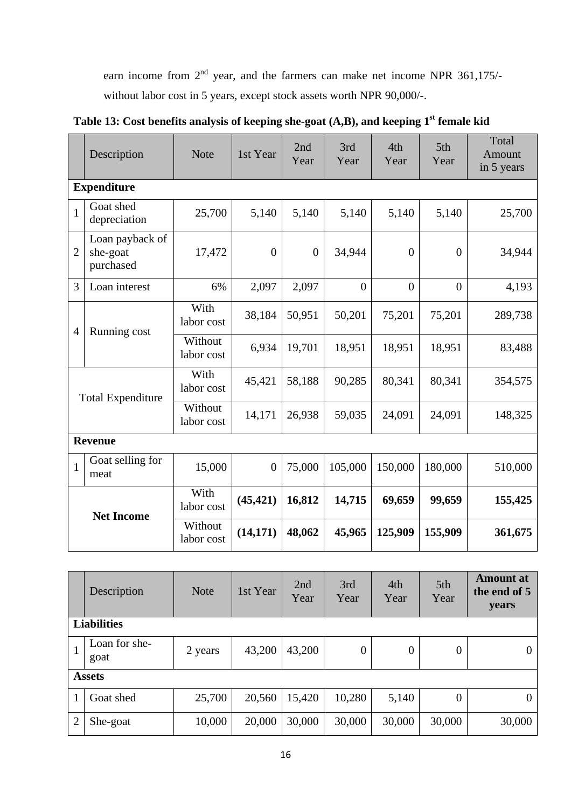earn income from  $2<sup>nd</sup>$  year, and the farmers can make net income NPR 361,175/without labor cost in 5 years, except stock assets worth NPR 90,000/-.

|                | Description                              | <b>Note</b>           | 1st Year       | 2nd<br>Year      | 3rd<br>Year | 4th<br>Year    | 5th<br>Year    | Total<br>Amount<br>in 5 years |
|----------------|------------------------------------------|-----------------------|----------------|------------------|-------------|----------------|----------------|-------------------------------|
|                | <b>Expenditure</b>                       |                       |                |                  |             |                |                |                               |
| $\mathbf{1}$   | Goat shed<br>depreciation                | 25,700                | 5,140          | 5,140            | 5,140       | 5,140          | 5,140          | 25,700                        |
| $\overline{2}$ | Loan payback of<br>she-goat<br>purchased | 17,472                | $\overline{0}$ | $\boldsymbol{0}$ | 34,944      | $\mathbf{0}$   | $\overline{0}$ | 34,944                        |
| 3              | Loan interest                            | 6%                    | 2,097          | 2,097            | $\theta$    | $\overline{0}$ | $\overline{0}$ | 4,193                         |
| $\overline{4}$ | Running cost                             | With<br>labor cost    | 38,184         | 50,951           | 50,201      | 75,201         | 75,201         | 289,738                       |
|                |                                          | Without<br>labor cost | 6,934          | 19,701           | 18,951      | 18,951         | 18,951         | 83,488                        |
|                | <b>Total Expenditure</b>                 | With<br>labor cost    | 45,421         | 58,188           | 90,285      | 80,341         | 80,341         | 354,575                       |
|                |                                          | Without<br>labor cost | 14,171         | 26,938           | 59,035      | 24,091         | 24,091         | 148,325                       |
|                | <b>Revenue</b>                           |                       |                |                  |             |                |                |                               |
| $\mathbf{1}$   | Goat selling for<br>meat                 | 15,000                | $\overline{0}$ | 75,000           | 105,000     | 150,000        | 180,000        | 510,000                       |
|                | <b>Net Income</b>                        | With<br>labor cost    | (45, 421)      | 16,812           | 14,715      | 69,659         | 99,659         | 155,425                       |
|                |                                          | Without<br>labor cost | (14, 171)      | 48,062           | 45,965      | 125,909        | 155,909        | 361,675                       |

**Table 13: Cost benefits analysis of keeping she-goat (A,B), and keeping 1st female kid** 

|                | Description           | <b>Note</b> | 1st Year | 2nd<br>Year | 3rd<br>Year    | 4th<br>Year      | 5th<br>Year    | <b>Amount</b> at<br>the end of 5<br>years |  |  |  |  |
|----------------|-----------------------|-------------|----------|-------------|----------------|------------------|----------------|-------------------------------------------|--|--|--|--|
|                | <b>Liabilities</b>    |             |          |             |                |                  |                |                                           |  |  |  |  |
|                | Loan for she-<br>goat | 2 years     | 43,200   | 43,200      | $\overline{0}$ | $\boldsymbol{0}$ | $\overline{0}$ | $\theta$                                  |  |  |  |  |
|                | <b>Assets</b>         |             |          |             |                |                  |                |                                           |  |  |  |  |
|                | Goat shed             | 25,700      | 20,560   | 15,420      | 10,280         | 5,140            | $\overline{0}$ | $\overline{0}$                            |  |  |  |  |
| $\overline{2}$ | She-goat              | 10,000      | 20,000   | 30,000      | 30,000         | 30,000           | 30,000         | 30,000                                    |  |  |  |  |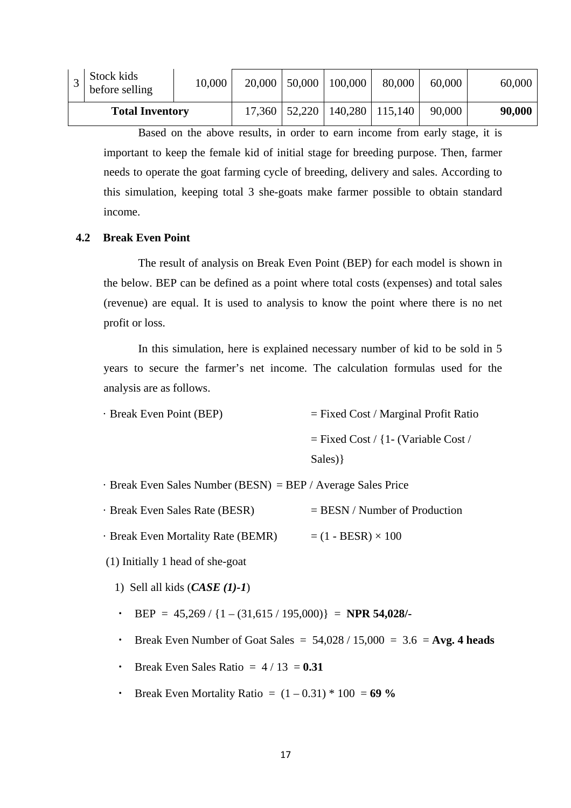| <b>Total Inventory</b>       |        | 17,360 | $\vert 52,220 \vert 140,280 \vert 115,140 \vert$ |        | 90,000 | 90,000 |
|------------------------------|--------|--------|--------------------------------------------------|--------|--------|--------|
| Stock kids<br>before selling | 10,000 | 20,000 | $50,000$   100,000                               | 80,000 | 60,000 | 60,000 |

Based on the above results, in order to earn income from early stage, it is important to keep the female kid of initial stage for breeding purpose. Then, farmer needs to operate the goat farming cycle of breeding, delivery and sales. According to this simulation, keeping total 3 she-goats make farmer possible to obtain standard income.

#### **4.2 Break Even Point**

The result of analysis on Break Even Point (BEP) for each model is shown in the below. BEP can be defined as a point where total costs (expenses) and total sales (revenue) are equal. It is used to analysis to know the point where there is no net profit or loss.

In this simulation, here is explained necessary number of kid to be sold in 5 years to secure the farmer's net income. The calculation formulas used for the analysis are as follows.

| · Break Even Point (BEP) | $=$ Fixed Cost / Marginal Profit Ratio |
|--------------------------|----------------------------------------|
|                          | $=$ Fixed Cost / {1 - (Variable Cost / |
|                          | Sales) }                               |
|                          |                                        |

· Break Even Sales Number (BESN) = BEP / Average Sales Price

- $\cdot$  Break Even Sales Rate (BESR)  $=$  BESN / Number of Production
- $\cdot$  Break Even Mortality Rate (BEMR) =  $(1 BESR) \times 100$
- (1) Initially 1 head of she-goat
	- 1) Sell all kids (*CASE (1)-1*)
	- ・ BEP = 45,269 / {1 (31,615 / 195,000)} = **NPR 54,028/-**
	- Break Even Number of Goat Sales =  $54,028 / 15,000 = 3.6 = \text{Avg. } 4 \text{ heads}$
	- Break Even Sales Ratio  $= 4 / 13 = 0.31$
	- Break Even Mortality Ratio =  $(1 0.31) * 100 = 69 \%$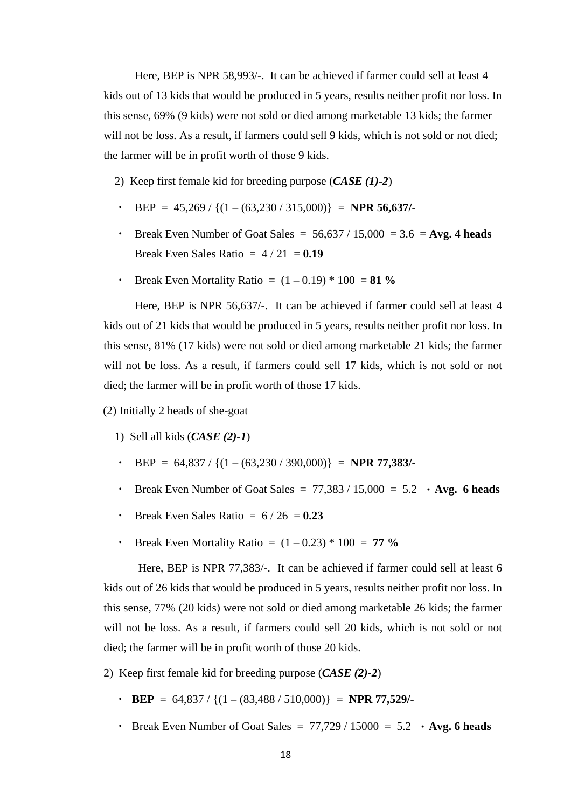Here, BEP is NPR 58,993/-. It can be achieved if farmer could sell at least 4 kids out of 13 kids that would be produced in 5 years, results neither profit nor loss. In this sense, 69% (9 kids) were not sold or died among marketable 13 kids; the farmer will not be loss. As a result, if farmers could sell 9 kids, which is not sold or not died; the farmer will be in profit worth of those 9 kids.

2) Keep first female kid for breeding purpose (*CASE (1)-2*)

- ・ BEP = 45,269 / {(1 (63,230 / 315,000)} = **NPR 56,637/-**
- Break Even Number of Goat Sales =  $56,637 / 15,000 = 3.6 = \text{Avg. } 4 \text{ heads}$ Break Even Sales Ratio  $= 4/21 = 0.19$
- Break Even Mortality Ratio =  $(1 0.19) * 100 = 81 \%$

Here, BEP is NPR 56,637/-. It can be achieved if farmer could sell at least 4 kids out of 21 kids that would be produced in 5 years, results neither profit nor loss. In this sense, 81% (17 kids) were not sold or died among marketable 21 kids; the farmer will not be loss. As a result, if farmers could sell 17 kids, which is not sold or not died; the farmer will be in profit worth of those 17 kids.

(2) Initially 2 heads of she-goat

- 1) Sell all kids (*CASE (2)-1*)
- ・ BEP = 64,837 / {(1 (63,230 / 390,000)} = **NPR 77,383/-**
- Break Even Number of Goat Sales =  $77,383 / 15,000 = 5.2$  Avg. 6 heads
- **Break Even Sales Ratio =**  $6 / 26 = 0.23$
- Break Even Mortality Ratio =  $(1 0.23) * 100 = 77 \%$

Here, BEP is NPR 77,383/-. It can be achieved if farmer could sell at least 6 kids out of 26 kids that would be produced in 5 years, results neither profit nor loss. In this sense, 77% (20 kids) were not sold or died among marketable 26 kids; the farmer will not be loss. As a result, if farmers could sell 20 kids, which is not sold or not died; the farmer will be in profit worth of those 20 kids.

- 2) Keep first female kid for breeding purpose (*CASE (2)-2*)
	- $\cdot$  **BEP** = 64,837 / { $(1 (83,488 / 510,000)$ } = **NPR 77,529/-**
	- Break Even Number of Goat Sales =  $77,729 / 15000 = 5.2$  Avg. 6 heads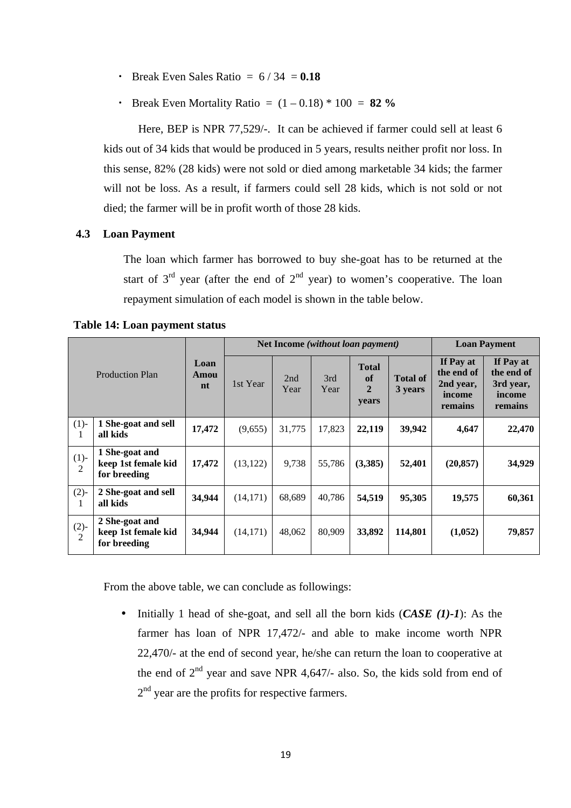- Break Even Sales Ratio  $= 6/34 = 0.18$
- Break Even Mortality Ratio  $= (1 0.18) * 100 = 82 \%$

Here, BEP is NPR 77,529/-. It can be achieved if farmer could sell at least 6 kids out of 34 kids that would be produced in 5 years, results neither profit nor loss. In this sense, 82% (28 kids) were not sold or died among marketable 34 kids; the farmer will not be loss. As a result, if farmers could sell 28 kids, which is not sold or not died; the farmer will be in profit worth of those 28 kids.

#### **4.3 Loan Payment**

The loan which farmer has borrowed to buy she-goat has to be returned at the start of  $3<sup>rd</sup>$  year (after the end of  $2<sup>nd</sup>$  year) to women's cooperative. The loan repayment simulation of each model is shown in the table below.

| <b>Production Plan</b>   |                                                       |                    | Net Income (without loan payment) |             |             |                                               |                            | <b>Loan Payment</b>                                       |                                                           |
|--------------------------|-------------------------------------------------------|--------------------|-----------------------------------|-------------|-------------|-----------------------------------------------|----------------------------|-----------------------------------------------------------|-----------------------------------------------------------|
|                          |                                                       | Loan<br>Amou<br>nt | 1st Year                          | 2nd<br>Year | 3rd<br>Year | <b>Total</b><br>of<br>$\overline{2}$<br>years | <b>Total of</b><br>3 years | If Pay at<br>the end of<br>2nd year,<br>income<br>remains | If Pay at<br>the end of<br>3rd year,<br>income<br>remains |
| (1)<br>1                 | 1 She-goat and sell<br>all kids                       | 17,472             | (9,655)                           | 31,775      | 17,823      | 22,119                                        | 39,942                     | 4,647                                                     | 22,470                                                    |
| $(1)-$<br>$\overline{2}$ | 1 She-goat and<br>keep 1st female kid<br>for breeding | 17,472             | (13, 122)                         | 9,738       | 55,786      | (3,385)                                       | 52,401                     | (20, 857)                                                 | 34,929                                                    |
| $(2)-$<br>$\mathbf{I}$   | 2 She-goat and sell<br>all kids                       | 34,944             | (14, 171)                         | 68,689      | 40,786      | 54,519                                        | 95,305                     | 19,575                                                    | 60,361                                                    |
| $(2)-$<br>2              | 2 She-goat and<br>keep 1st female kid<br>for breeding | 34,944             | (14, 171)                         | 48,062      | 80,909      | 33,892                                        | 114,801                    | (1,052)                                                   | 79,857                                                    |

**Table 14: Loan payment status**

From the above table, we can conclude as followings:

• Initially 1 head of she-goat, and sell all the born kids (*CASE (1)-1*): As the farmer has loan of NPR 17,472/- and able to make income worth NPR 22,470/- at the end of second year, he/she can return the loan to cooperative at the end of  $2<sup>nd</sup>$  year and save NPR 4,647/- also. So, the kids sold from end of  $2<sup>nd</sup>$  year are the profits for respective farmers.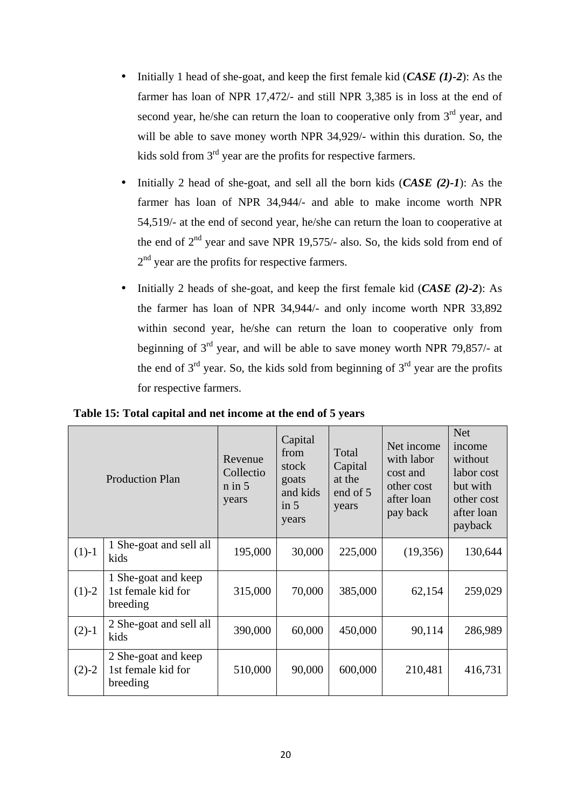- Initially 1 head of she-goat, and keep the first female kid (*CASE (1)-2*): As the farmer has loan of NPR 17,472/- and still NPR 3,385 is in loss at the end of second year, he/she can return the loan to cooperative only from 3<sup>rd</sup> year, and will be able to save money worth NPR 34,929/- within this duration. So, the kids sold from  $3<sup>rd</sup>$  year are the profits for respective farmers.
- Initially 2 head of she-goat, and sell all the born kids (*CASE (2)-1*): As the farmer has loan of NPR 34,944/- and able to make income worth NPR 54,519/- at the end of second year, he/she can return the loan to cooperative at the end of  $2<sup>nd</sup>$  year and save NPR 19,575/- also. So, the kids sold from end of  $2<sup>nd</sup>$  year are the profits for respective farmers.
- Initially 2 heads of she-goat, and keep the first female kid (*CASE (2)-2*): As the farmer has loan of NPR 34,944/- and only income worth NPR 33,892 within second year, he/she can return the loan to cooperative only from beginning of  $3<sup>rd</sup>$  year, and will be able to save money worth NPR 79,857/- at the end of  $3<sup>rd</sup>$  year. So, the kids sold from beginning of  $3<sup>rd</sup>$  year are the profits for respective farmers.

|         | <b>Production Plan</b>                                | Revenue<br>Collectio<br>$n$ in $5$<br>years | Capital<br>from<br>stock<br>goats<br>and kids<br>in $5$<br>years | Total<br>Capital<br>at the<br>end of 5<br>years | Net income<br>with labor<br>cost and<br>other cost<br>after loan<br>pay back | <b>Net</b><br>income<br>without<br>labor cost<br>but with<br>other cost<br>after loan<br>payback |
|---------|-------------------------------------------------------|---------------------------------------------|------------------------------------------------------------------|-------------------------------------------------|------------------------------------------------------------------------------|--------------------------------------------------------------------------------------------------|
| $(1)-1$ | 1 She-goat and sell all<br>kids                       | 195,000                                     | 30,000                                                           | 225,000                                         | (19,356)                                                                     | 130,644                                                                                          |
| $(1)-2$ | 1 She-goat and keep<br>1st female kid for<br>breeding | 315,000                                     | 70,000                                                           | 385,000                                         | 62,154                                                                       | 259,029                                                                                          |
| $(2)-1$ | 2 She-goat and sell all<br>kids                       | 390,000                                     | 60,000                                                           | 450,000                                         | 90,114                                                                       | 286,989                                                                                          |
| $(2)-2$ | 2 She-goat and keep<br>1st female kid for<br>breeding | 510,000                                     | 90,000                                                           | 600,000                                         | 210,481                                                                      | 416,731                                                                                          |

**Table 15: Total capital and net income at the end of 5 years**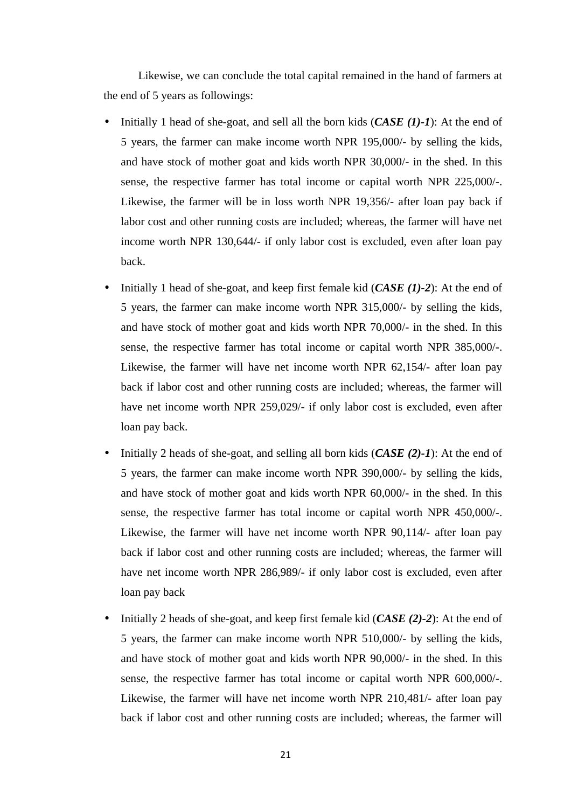Likewise, we can conclude the total capital remained in the hand of farmers at the end of 5 years as followings:

- Initially 1 head of she-goat, and sell all the born kids (*CASE (1)-1*): At the end of 5 years, the farmer can make income worth NPR 195,000/- by selling the kids, and have stock of mother goat and kids worth NPR 30,000/- in the shed. In this sense, the respective farmer has total income or capital worth NPR 225,000/-. Likewise, the farmer will be in loss worth NPR 19,356/- after loan pay back if labor cost and other running costs are included; whereas, the farmer will have net income worth NPR 130,644/- if only labor cost is excluded, even after loan pay back.
- Initially 1 head of she-goat, and keep first female kid (*CASE (1)-2*): At the end of 5 years, the farmer can make income worth NPR 315,000/- by selling the kids, and have stock of mother goat and kids worth NPR 70,000/- in the shed. In this sense, the respective farmer has total income or capital worth NPR 385,000/-. Likewise, the farmer will have net income worth NPR 62,154/- after loan pay back if labor cost and other running costs are included; whereas, the farmer will have net income worth NPR 259,029/- if only labor cost is excluded, even after loan pay back.
- Initially 2 heads of she-goat, and selling all born kids (*CASE (2)-1*): At the end of 5 years, the farmer can make income worth NPR 390,000/- by selling the kids, and have stock of mother goat and kids worth NPR 60,000/- in the shed. In this sense, the respective farmer has total income or capital worth NPR 450,000/-. Likewise, the farmer will have net income worth NPR 90,114/- after loan pay back if labor cost and other running costs are included; whereas, the farmer will have net income worth NPR 286,989/- if only labor cost is excluded, even after loan pay back
- Initially 2 heads of she-goat, and keep first female kid (*CASE (2)-2*): At the end of 5 years, the farmer can make income worth NPR 510,000/- by selling the kids, and have stock of mother goat and kids worth NPR 90,000/- in the shed. In this sense, the respective farmer has total income or capital worth NPR 600,000/-. Likewise, the farmer will have net income worth NPR 210,481/- after loan pay back if labor cost and other running costs are included; whereas, the farmer will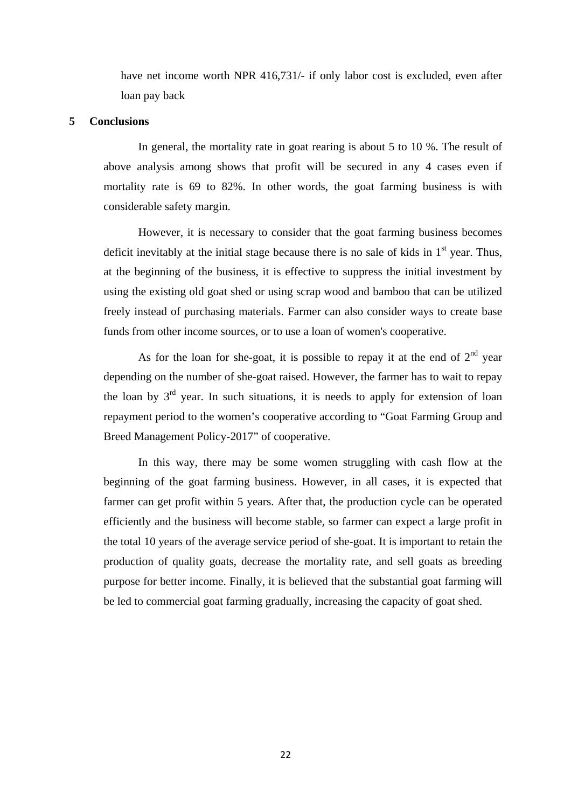have net income worth NPR 416,731/- if only labor cost is excluded, even after loan pay back

#### **5 Conclusions**

In general, the mortality rate in goat rearing is about 5 to 10 %. The result of above analysis among shows that profit will be secured in any 4 cases even if mortality rate is 69 to 82%. In other words, the goat farming business is with considerable safety margin.

However, it is necessary to consider that the goat farming business becomes deficit inevitably at the initial stage because there is no sale of kids in  $1<sup>st</sup>$  year. Thus, at the beginning of the business, it is effective to suppress the initial investment by using the existing old goat shed or using scrap wood and bamboo that can be utilized freely instead of purchasing materials. Farmer can also consider ways to create base funds from other income sources, or to use a loan of women's cooperative.

As for the loan for she-goat, it is possible to repay it at the end of  $2<sup>nd</sup>$  year depending on the number of she-goat raised. However, the farmer has to wait to repay the loan by  $3<sup>rd</sup>$  year. In such situations, it is needs to apply for extension of loan repayment period to the women's cooperative according to "Goat Farming Group and Breed Management Policy-2017" of cooperative.

In this way, there may be some women struggling with cash flow at the beginning of the goat farming business. However, in all cases, it is expected that farmer can get profit within 5 years. After that, the production cycle can be operated efficiently and the business will become stable, so farmer can expect a large profit in the total 10 years of the average service period of she-goat. It is important to retain the production of quality goats, decrease the mortality rate, and sell goats as breeding purpose for better income. Finally, it is believed that the substantial goat farming will be led to commercial goat farming gradually, increasing the capacity of goat shed.